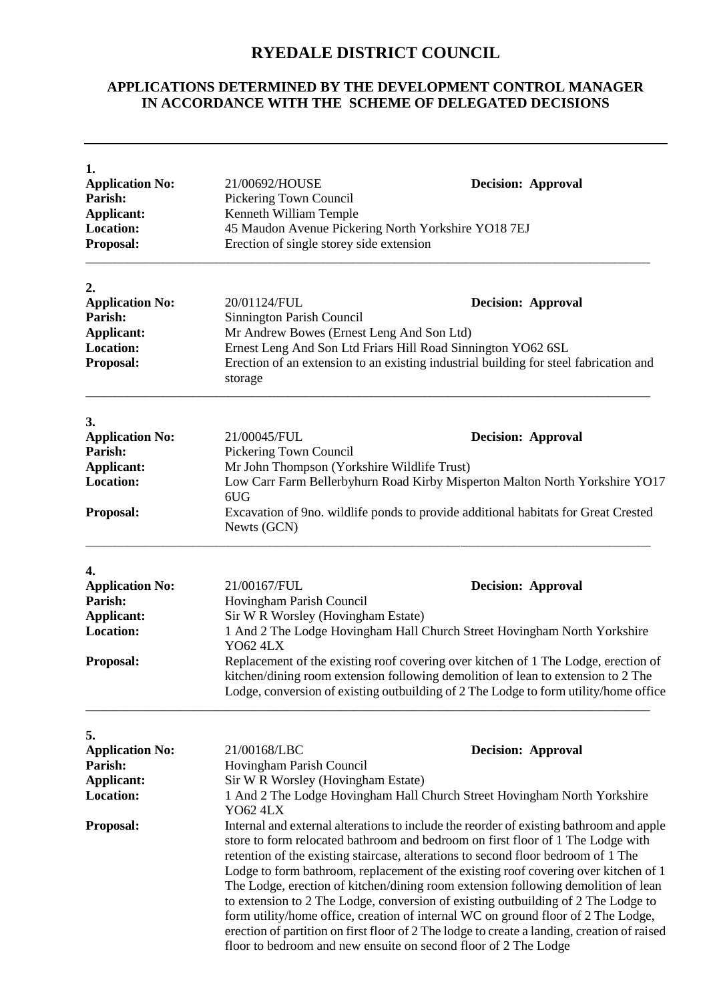## **RYEDALE DISTRICT COUNCIL**

## **APPLICATIONS DETERMINED BY THE DEVELOPMENT CONTROL MANAGER IN ACCORDANCE WITH THE SCHEME OF DELEGATED DECISIONS**

| 1.<br><b>Application No:</b><br>Parish:<br><b>Applicant:</b><br><b>Location:</b><br><b>Proposal:</b> | 21/00692/HOUSE<br><b>Decision: Approval</b><br>Pickering Town Council<br>Kenneth William Temple<br>45 Maudon Avenue Pickering North Yorkshire YO18 7EJ<br>Erection of single storey side extension                                                                                                                                                                                                                                                                                                                                                                                                                                                                                                                                                                                       |                           |
|------------------------------------------------------------------------------------------------------|------------------------------------------------------------------------------------------------------------------------------------------------------------------------------------------------------------------------------------------------------------------------------------------------------------------------------------------------------------------------------------------------------------------------------------------------------------------------------------------------------------------------------------------------------------------------------------------------------------------------------------------------------------------------------------------------------------------------------------------------------------------------------------------|---------------------------|
| 2.                                                                                                   |                                                                                                                                                                                                                                                                                                                                                                                                                                                                                                                                                                                                                                                                                                                                                                                          |                           |
| <b>Application No:</b>                                                                               | 20/01124/FUL                                                                                                                                                                                                                                                                                                                                                                                                                                                                                                                                                                                                                                                                                                                                                                             | <b>Decision: Approval</b> |
| Parish:                                                                                              | Sinnington Parish Council                                                                                                                                                                                                                                                                                                                                                                                                                                                                                                                                                                                                                                                                                                                                                                |                           |
| Applicant:<br><b>Location:</b>                                                                       | Mr Andrew Bowes (Ernest Leng And Son Ltd)                                                                                                                                                                                                                                                                                                                                                                                                                                                                                                                                                                                                                                                                                                                                                |                           |
| Proposal:                                                                                            | Ernest Leng And Son Ltd Friars Hill Road Sinnington YO62 6SL<br>Erection of an extension to an existing industrial building for steel fabrication and<br>storage                                                                                                                                                                                                                                                                                                                                                                                                                                                                                                                                                                                                                         |                           |
| 3.                                                                                                   |                                                                                                                                                                                                                                                                                                                                                                                                                                                                                                                                                                                                                                                                                                                                                                                          |                           |
| <b>Application No:</b>                                                                               | 21/00045/FUL                                                                                                                                                                                                                                                                                                                                                                                                                                                                                                                                                                                                                                                                                                                                                                             | <b>Decision: Approval</b> |
| Parish:                                                                                              | Pickering Town Council                                                                                                                                                                                                                                                                                                                                                                                                                                                                                                                                                                                                                                                                                                                                                                   |                           |
| <b>Applicant:</b>                                                                                    | Mr John Thompson (Yorkshire Wildlife Trust)                                                                                                                                                                                                                                                                                                                                                                                                                                                                                                                                                                                                                                                                                                                                              |                           |
| <b>Location:</b>                                                                                     | Low Carr Farm Bellerbyhurn Road Kirby Misperton Malton North Yorkshire YO17<br>6UG                                                                                                                                                                                                                                                                                                                                                                                                                                                                                                                                                                                                                                                                                                       |                           |
| Proposal:                                                                                            | Excavation of 9no. wildlife ponds to provide additional habitats for Great Crested<br>Newts (GCN)                                                                                                                                                                                                                                                                                                                                                                                                                                                                                                                                                                                                                                                                                        |                           |
| 4.                                                                                                   |                                                                                                                                                                                                                                                                                                                                                                                                                                                                                                                                                                                                                                                                                                                                                                                          |                           |
| <b>Application No:</b>                                                                               | 21/00167/FUL                                                                                                                                                                                                                                                                                                                                                                                                                                                                                                                                                                                                                                                                                                                                                                             | <b>Decision: Approval</b> |
| Parish:                                                                                              | Hovingham Parish Council                                                                                                                                                                                                                                                                                                                                                                                                                                                                                                                                                                                                                                                                                                                                                                 |                           |
| Applicant:                                                                                           | Sir W R Worsley (Hovingham Estate)                                                                                                                                                                                                                                                                                                                                                                                                                                                                                                                                                                                                                                                                                                                                                       |                           |
| <b>Location:</b>                                                                                     | 1 And 2 The Lodge Hovingham Hall Church Street Hovingham North Yorkshire<br><b>YO62 4LX</b>                                                                                                                                                                                                                                                                                                                                                                                                                                                                                                                                                                                                                                                                                              |                           |
| <b>Proposal:</b>                                                                                     | Replacement of the existing roof covering over kitchen of 1 The Lodge, erection of<br>kitchen/dining room extension following demolition of lean to extension to 2 The<br>Lodge, conversion of existing outbuilding of 2 The Lodge to form utility/home office                                                                                                                                                                                                                                                                                                                                                                                                                                                                                                                           |                           |
| 5.                                                                                                   |                                                                                                                                                                                                                                                                                                                                                                                                                                                                                                                                                                                                                                                                                                                                                                                          |                           |
| <b>Application No:</b>                                                                               | 21/00168/LBC                                                                                                                                                                                                                                                                                                                                                                                                                                                                                                                                                                                                                                                                                                                                                                             | <b>Decision: Approval</b> |
| Parish:                                                                                              | Hovingham Parish Council                                                                                                                                                                                                                                                                                                                                                                                                                                                                                                                                                                                                                                                                                                                                                                 |                           |
| <b>Applicant:</b>                                                                                    | Sir W R Worsley (Hovingham Estate)                                                                                                                                                                                                                                                                                                                                                                                                                                                                                                                                                                                                                                                                                                                                                       |                           |
| <b>Location:</b>                                                                                     | 1 And 2 The Lodge Hovingham Hall Church Street Hovingham North Yorkshire<br><b>YO62 4LX</b>                                                                                                                                                                                                                                                                                                                                                                                                                                                                                                                                                                                                                                                                                              |                           |
| <b>Proposal:</b>                                                                                     | Internal and external alterations to include the reorder of existing bathroom and apple<br>store to form relocated bathroom and bedroom on first floor of 1 The Lodge with<br>retention of the existing staircase, alterations to second floor bedroom of 1 The<br>Lodge to form bathroom, replacement of the existing roof covering over kitchen of 1<br>The Lodge, erection of kitchen/dining room extension following demolition of lean<br>to extension to 2 The Lodge, conversion of existing outbuilding of 2 The Lodge to<br>form utility/home office, creation of internal WC on ground floor of 2 The Lodge,<br>erection of partition on first floor of 2 The lodge to create a landing, creation of raised<br>floor to be droom and new ensuite on second floor of 2 The Lodge |                           |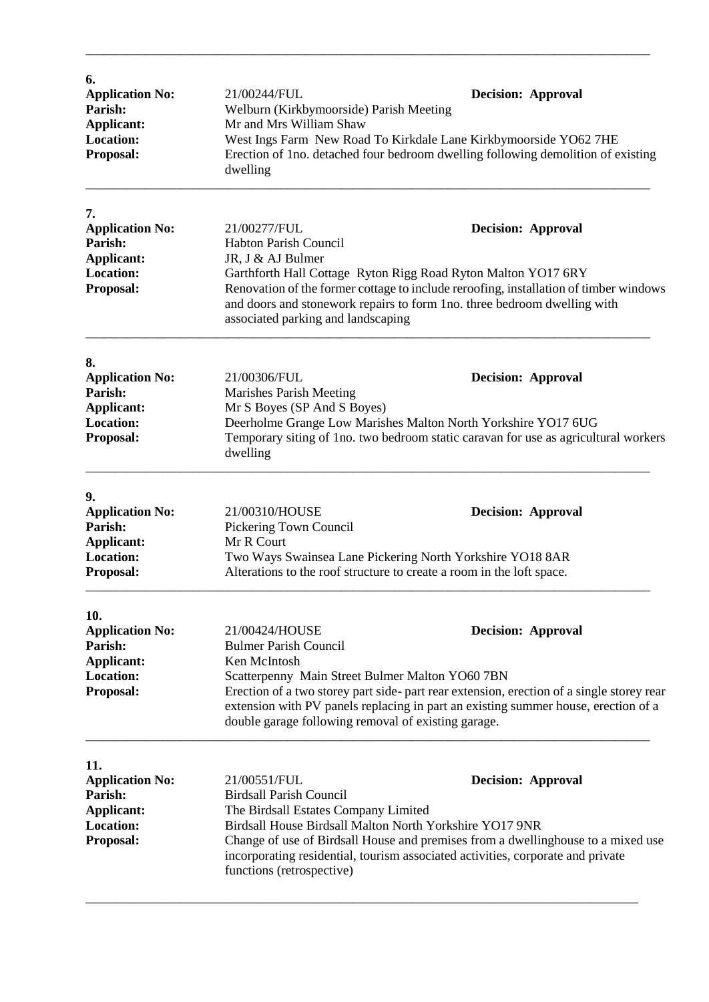| 6.<br><b>Application No:</b><br>Parish:<br><b>Applicant:</b><br><b>Location:</b><br>Proposal:  | 21/00244/FUL<br><b>Decision: Approval</b><br>Welburn (Kirkbymoorside) Parish Meeting<br>Mr and Mrs William Shaw<br>West Ings Farm New Road To Kirkdale Lane Kirkbymoorside YO62 7HE<br>Erection of 1 no. detached four bedroom dwelling following demolition of existing<br>dwelling                                                                                                     |  |
|------------------------------------------------------------------------------------------------|------------------------------------------------------------------------------------------------------------------------------------------------------------------------------------------------------------------------------------------------------------------------------------------------------------------------------------------------------------------------------------------|--|
| 7.<br><b>Application No:</b><br>Parish:<br>Applicant:<br><b>Location:</b><br>Proposal:         | 21/00277/FUL<br><b>Decision: Approval</b><br><b>Habton Parish Council</b><br>JR, J & AJ Bulmer<br>Garthforth Hall Cottage Ryton Rigg Road Ryton Malton YO17 6RY<br>Renovation of the former cottage to include reroofing, installation of timber windows<br>and doors and stonework repairs to form 1no. three bedroom dwelling with<br>associated parking and landscaping               |  |
| 8.<br><b>Application No:</b><br>Parish:<br><b>Applicant:</b><br><b>Location:</b><br>Proposal:  | 21/00306/FUL<br><b>Decision: Approval</b><br>Marishes Parish Meeting<br>Mr S Boyes (SP And S Boyes)<br>Deerholme Grange Low Marishes Malton North Yorkshire YO17 6UG<br>Temporary siting of 1no. two bedroom static caravan for use as agricultural workers<br>dwelling                                                                                                                  |  |
| 9.<br><b>Application No:</b><br>Parish:<br>Applicant:<br><b>Location:</b><br>Proposal:         | 21/00310/HOUSE<br><b>Decision: Approval</b><br>Pickering Town Council<br>Mr R Court<br>Two Ways Swainsea Lane Pickering North Yorkshire YO18 8AR<br>Alterations to the roof structure to create a room in the loft space.                                                                                                                                                                |  |
| 10.<br><b>Application No:</b><br>Parish:<br><b>Applicant:</b><br><b>Location:</b><br>Proposal: | 21/00424/HOUSE<br><b>Decision: Approval</b><br><b>Bulmer Parish Council</b><br>Ken McIntosh<br>Scatterpenny Main Street Bulmer Malton YO60 7BN<br>Erection of a two storey part side- part rear extension, erection of a single storey rear<br>extension with PV panels replacing in part an existing summer house, erection of a<br>double garage following removal of existing garage. |  |
| 11.<br><b>Application No:</b><br>Parish:<br><b>Applicant:</b><br><b>Location:</b><br>Proposal: | 21/00551/FUL<br><b>Decision: Approval</b><br><b>Birdsall Parish Council</b><br>The Birdsall Estates Company Limited<br>Birdsall House Birdsall Malton North Yorkshire YO17 9NR<br>Change of use of Birdsall House and premises from a dwellinghouse to a mixed use<br>incorporating residential, tourism associated activities, corporate and private<br>functions (retrospective)       |  |

\_\_\_\_\_\_\_\_\_\_\_\_\_\_\_\_\_\_\_\_\_\_\_\_\_\_\_\_\_\_\_\_\_\_\_\_\_\_\_\_\_\_\_\_\_\_\_\_\_\_\_\_\_\_\_\_\_\_\_\_\_\_\_\_\_\_\_\_\_\_\_\_\_\_\_\_\_\_\_\_\_\_\_\_\_\_\_\_\_\_\_\_\_

\_\_\_\_\_\_\_\_\_\_\_\_\_\_\_\_\_\_\_\_\_\_\_\_\_\_\_\_\_\_\_\_\_\_\_\_\_\_\_\_\_\_\_\_\_\_\_\_\_\_\_\_\_\_\_\_\_\_\_\_\_\_\_\_\_\_\_\_\_\_\_\_\_\_\_\_\_\_\_\_\_\_\_\_\_\_\_\_\_\_\_\_\_\_\_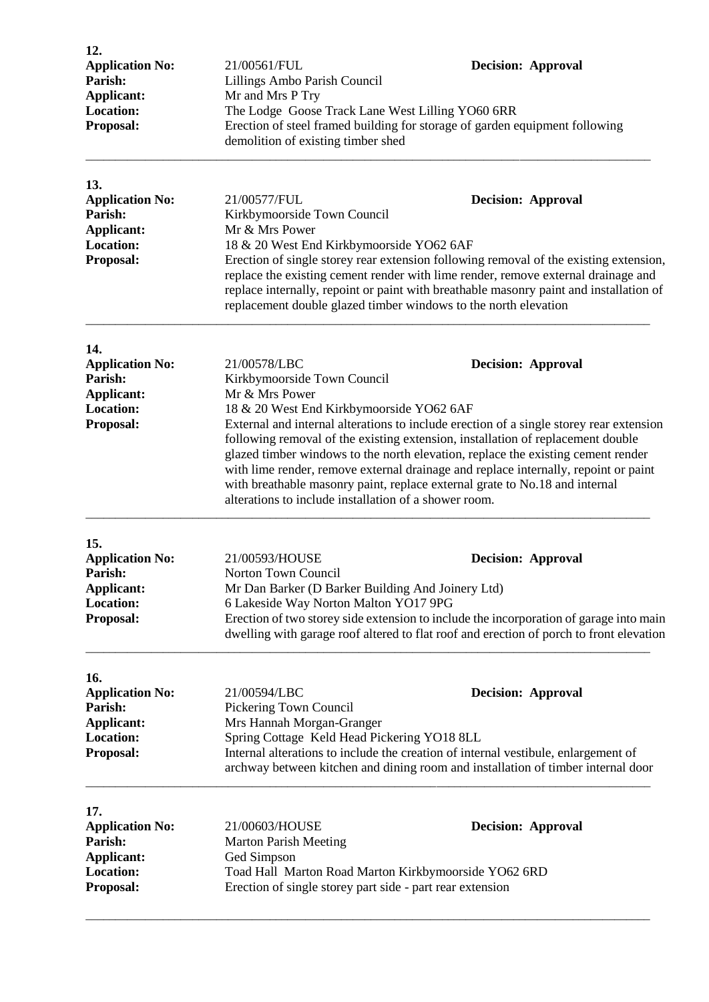| 12.<br><b>Application No:</b><br>Parish:<br>Applicant:<br><b>Location:</b><br>Proposal: | 21/00561/FUL<br>Lillings Ambo Parish Council<br>Mr and Mrs P Try<br>The Lodge Goose Track Lane West Lilling YO60 6RR<br>demolition of existing timber shed                                                                                                                                                                                                                                                                                                                                                                                                                                                                              | <b>Decision: Approval</b><br>Erection of steel framed building for storage of garden equipment following                                                                                                       |
|-----------------------------------------------------------------------------------------|-----------------------------------------------------------------------------------------------------------------------------------------------------------------------------------------------------------------------------------------------------------------------------------------------------------------------------------------------------------------------------------------------------------------------------------------------------------------------------------------------------------------------------------------------------------------------------------------------------------------------------------------|----------------------------------------------------------------------------------------------------------------------------------------------------------------------------------------------------------------|
| 13.<br><b>Application No:</b><br>Parish:<br>Applicant:<br><b>Location:</b><br>Proposal: | 21/00577/FUL<br><b>Decision: Approval</b><br>Kirkbymoorside Town Council<br>Mr & Mrs Power<br>18 & 20 West End Kirkbymoorside YO62 6AF<br>Erection of single storey rear extension following removal of the existing extension,<br>replace the existing cement render with lime render, remove external drainage and<br>replace internally, repoint or paint with breathable masonry paint and installation of<br>replacement double glazed timber windows to the north elevation                                                                                                                                                       |                                                                                                                                                                                                                |
| 14.<br><b>Application No:</b><br>Parish:<br>Applicant:<br><b>Location:</b><br>Proposal: | 21/00578/LBC<br><b>Decision: Approval</b><br>Kirkbymoorside Town Council<br>Mr & Mrs Power<br>18 & 20 West End Kirkbymoorside YO62 6AF<br>External and internal alterations to include erection of a single storey rear extension<br>following removal of the existing extension, installation of replacement double<br>glazed timber windows to the north elevation, replace the existing cement render<br>with lime render, remove external drainage and replace internally, repoint or paint<br>with breathable masonry paint, replace external grate to No.18 and internal<br>alterations to include installation of a shower room. |                                                                                                                                                                                                                |
| 15.<br><b>Application No:</b><br>Parish:<br>Applicant:<br><b>Location:</b><br>Proposal: | 21/00593/HOUSE<br><b>Norton Town Council</b><br>Mr Dan Barker (D Barker Building And Joinery Ltd)<br>6 Lakeside Way Norton Malton YO17 9PG                                                                                                                                                                                                                                                                                                                                                                                                                                                                                              | <b>Decision: Approval</b><br>Erection of two storey side extension to include the incorporation of garage into main<br>dwelling with garage roof altered to flat roof and erection of porch to front elevation |
| 16.<br><b>Application No:</b><br>Parish:<br>Applicant:<br><b>Location:</b><br>Proposal: | 21/00594/LBC<br>Pickering Town Council<br>Mrs Hannah Morgan-Granger<br>Spring Cottage Keld Head Pickering YO18 8LL                                                                                                                                                                                                                                                                                                                                                                                                                                                                                                                      | <b>Decision: Approval</b><br>Internal alterations to include the creation of internal vestibule, enlargement of<br>archway between kitchen and dining room and installation of timber internal door            |
| 17.<br><b>Application No:</b><br>Parish:<br>Applicant:<br><b>Location:</b><br>Proposal: | 21/00603/HOUSE<br><b>Decision: Approval</b><br><b>Marton Parish Meeting</b><br>Ged Simpson<br>Toad Hall Marton Road Marton Kirkbymoorside YO62 6RD<br>Erection of single storey part side - part rear extension                                                                                                                                                                                                                                                                                                                                                                                                                         |                                                                                                                                                                                                                |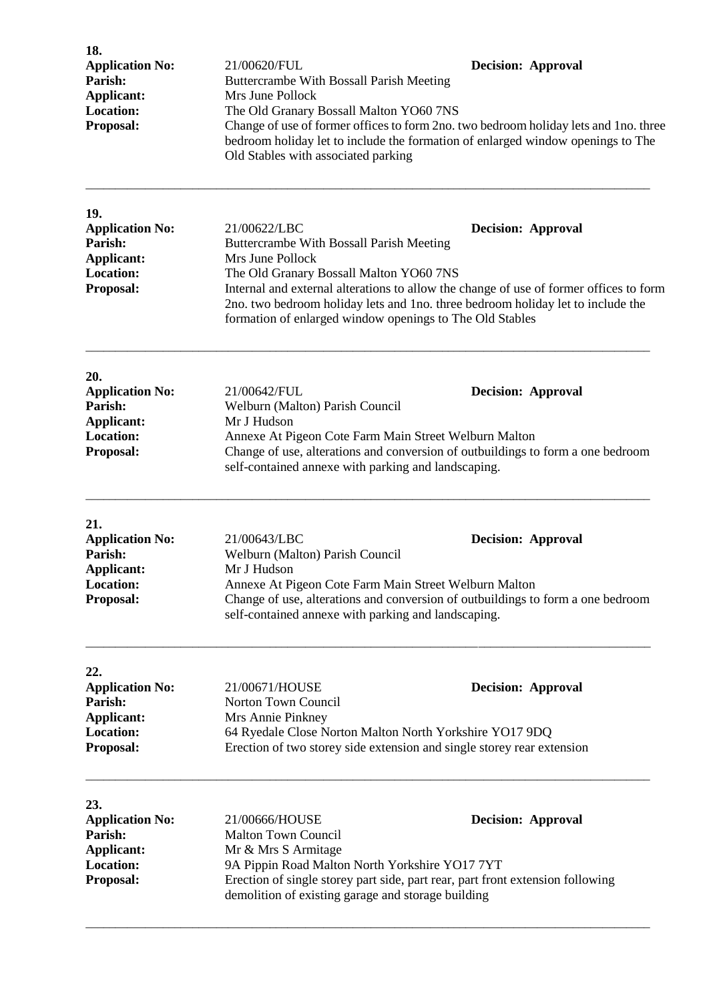| 18.<br><b>Application No:</b><br>Parish:<br><b>Applicant:</b><br><b>Location:</b><br>Proposal: | 21/00620/FUL<br><b>Decision: Approval</b><br>Buttercrambe With Bossall Parish Meeting<br>Mrs June Pollock<br>The Old Granary Bossall Malton YO60 7NS<br>Change of use of former offices to form 2no. two bedroom holiday lets and 1no. three<br>bedroom holiday let to include the formation of enlarged window openings to The<br>Old Stables with associated parking                        |  |
|------------------------------------------------------------------------------------------------|-----------------------------------------------------------------------------------------------------------------------------------------------------------------------------------------------------------------------------------------------------------------------------------------------------------------------------------------------------------------------------------------------|--|
| 19.<br><b>Application No:</b><br>Parish:<br>Applicant:<br><b>Location:</b><br>Proposal:        | 21/00622/LBC<br><b>Decision: Approval</b><br>Buttercrambe With Bossall Parish Meeting<br>Mrs June Pollock<br>The Old Granary Bossall Malton YO60 7NS<br>Internal and external alterations to allow the change of use of former offices to form<br>2no. two bedroom holiday lets and 1no. three bedroom holiday let to include the<br>formation of enlarged window openings to The Old Stables |  |
| 20.<br><b>Application No:</b><br>Parish:<br>Applicant:<br><b>Location:</b><br>Proposal:        | 21/00642/FUL<br><b>Decision: Approval</b><br>Welburn (Malton) Parish Council<br>Mr J Hudson<br>Annexe At Pigeon Cote Farm Main Street Welburn Malton<br>Change of use, alterations and conversion of outbuildings to form a one bedroom<br>self-contained annexe with parking and landscaping.                                                                                                |  |
| 21.<br><b>Application No:</b><br>Parish:<br>Applicant:<br><b>Location:</b><br>Proposal:        | 21/00643/LBC<br><b>Decision: Approval</b><br>Welburn (Malton) Parish Council<br>Mr J Hudson<br>Annexe At Pigeon Cote Farm Main Street Welburn Malton<br>Change of use, alterations and conversion of outbuildings to form a one bedroom<br>self-contained annexe with parking and landscaping.                                                                                                |  |
| 22.<br><b>Application No:</b><br>Parish:<br>Applicant:<br><b>Location:</b><br>Proposal:        | 21/00671/HOUSE<br><b>Decision: Approval</b><br>Norton Town Council<br>Mrs Annie Pinkney<br>64 Ryedale Close Norton Malton North Yorkshire YO17 9DQ<br>Erection of two storey side extension and single storey rear extension                                                                                                                                                                  |  |
| 23.<br><b>Application No:</b><br>Parish:<br>Applicant:<br><b>Location:</b><br>Proposal:        | 21/00666/HOUSE<br><b>Decision: Approval</b><br>Malton Town Council<br>Mr & Mrs S Armitage<br>9A Pippin Road Malton North Yorkshire YO17 7YT<br>Erection of single storey part side, part rear, part front extension following<br>demolition of existing garage and storage building                                                                                                           |  |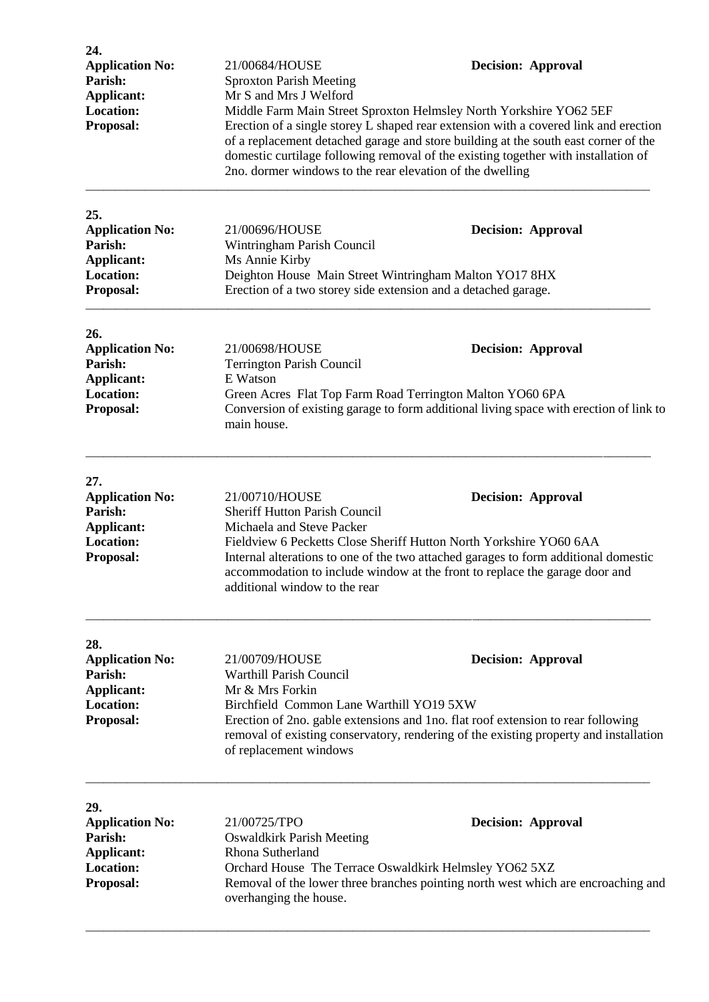| 24.<br><b>Application No:</b><br>Parish:<br>Applicant:                                         | 21/00684/HOUSE<br><b>Sproxton Parish Meeting</b>                                                                                                                                                                                                                                                                                                                                                                               | <b>Decision: Approval</b>                                                                                                                                                                              |  |
|------------------------------------------------------------------------------------------------|--------------------------------------------------------------------------------------------------------------------------------------------------------------------------------------------------------------------------------------------------------------------------------------------------------------------------------------------------------------------------------------------------------------------------------|--------------------------------------------------------------------------------------------------------------------------------------------------------------------------------------------------------|--|
| <b>Location:</b><br>Proposal:                                                                  | Mr S and Mrs J Welford<br>Middle Farm Main Street Sproxton Helmsley North Yorkshire YO62 5EF<br>Erection of a single storey L shaped rear extension with a covered link and erection<br>of a replacement detached garage and store building at the south east corner of the<br>domestic curtilage following removal of the existing together with installation of<br>2no. dormer windows to the rear elevation of the dwelling |                                                                                                                                                                                                        |  |
| 25.<br><b>Application No:</b><br>Parish:<br>Applicant:<br><b>Location:</b><br>Proposal:        | 21/00696/HOUSE<br>Wintringham Parish Council<br>Ms Annie Kirby<br>Deighton House Main Street Wintringham Malton YO17 8HX<br>Erection of a two storey side extension and a detached garage.                                                                                                                                                                                                                                     | <b>Decision: Approval</b>                                                                                                                                                                              |  |
| 26.<br><b>Application No:</b><br>Parish:<br>Applicant:<br><b>Location:</b><br>Proposal:        | 21/00698/HOUSE<br><b>Terrington Parish Council</b><br>E Watson<br>main house.                                                                                                                                                                                                                                                                                                                                                  | <b>Decision: Approval</b><br>Green Acres Flat Top Farm Road Terrington Malton YO60 6PA<br>Conversion of existing garage to form additional living space with erection of link to                       |  |
| 27.<br><b>Application No:</b><br>Parish:<br><b>Applicant:</b><br><b>Location:</b><br>Proposal: | 21/00710/HOUSE<br><b>Decision: Approval</b><br><b>Sheriff Hutton Parish Council</b><br>Michaela and Steve Packer<br>Fieldview 6 Pecketts Close Sheriff Hutton North Yorkshire YO60 6AA<br>Internal alterations to one of the two attached garages to form additional domestic<br>accommodation to include window at the front to replace the garage door and<br>additional window to the rear                                  |                                                                                                                                                                                                        |  |
| 28.<br><b>Application No:</b><br>Parish:<br>Applicant:<br>Location:<br>Proposal:               | 21/00709/HOUSE<br><b>Warthill Parish Council</b><br>Mr & Mrs Forkin<br>Birchfield Common Lane Warthill YO19 5XW<br>of replacement windows                                                                                                                                                                                                                                                                                      | <b>Decision: Approval</b><br>Erection of 2no. gable extensions and 1no. flat roof extension to rear following<br>removal of existing conservatory, rendering of the existing property and installation |  |
| 29.<br><b>Application No:</b><br>Parish:<br>Applicant:<br><b>Location:</b><br>Proposal:        | 21/00725/TPO<br><b>Oswaldkirk Parish Meeting</b><br>Rhona Sutherland<br>overhanging the house.                                                                                                                                                                                                                                                                                                                                 | <b>Decision: Approval</b><br>Orchard House The Terrace Oswaldkirk Helmsley YO62 5XZ<br>Removal of the lower three branches pointing north west which are encroaching and                               |  |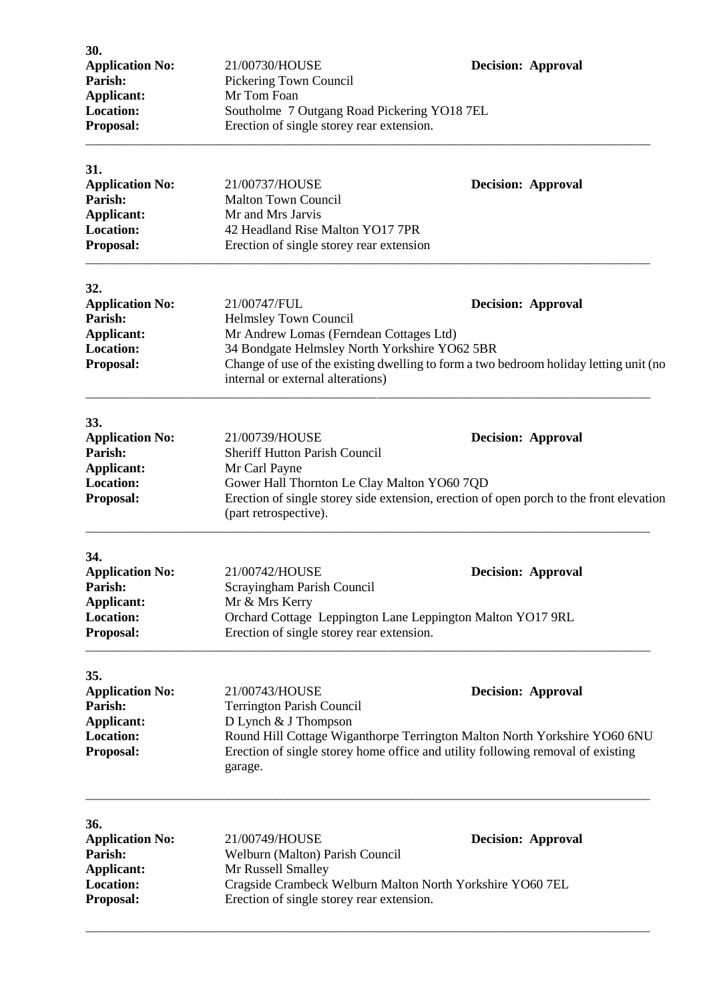| 30.<br><b>Application No:</b><br>Parish:<br><b>Applicant:</b>                                  | 21/00730/HOUSE<br>Pickering Town Council<br>Mr Tom Foan                                                                                                                                                                                                                                      | <b>Decision: Approval</b>                                                                                            |
|------------------------------------------------------------------------------------------------|----------------------------------------------------------------------------------------------------------------------------------------------------------------------------------------------------------------------------------------------------------------------------------------------|----------------------------------------------------------------------------------------------------------------------|
| <b>Location:</b><br>Proposal:                                                                  | Southolme 7 Outgang Road Pickering YO18 7EL<br>Erection of single storey rear extension.                                                                                                                                                                                                     |                                                                                                                      |
| 31.<br><b>Application No:</b><br>Parish:<br><b>Applicant:</b><br>Location:<br>Proposal:        | 21/00737/HOUSE<br><b>Malton Town Council</b><br>Mr and Mrs Jarvis<br>42 Headland Rise Malton YO17 7PR<br>Erection of single storey rear extension                                                                                                                                            | <b>Decision: Approval</b>                                                                                            |
| 32.<br><b>Application No:</b><br>Parish:<br><b>Applicant:</b><br><b>Location:</b><br>Proposal: | 21/00747/FUL<br><b>Decision: Approval</b><br>Helmsley Town Council<br>Mr Andrew Lomas (Ferndean Cottages Ltd)<br>34 Bondgate Helmsley North Yorkshire YO62 5BR<br>Change of use of the existing dwelling to form a two bedroom holiday letting unit (no<br>internal or external alterations) |                                                                                                                      |
| 33.<br><b>Application No:</b><br>Parish:<br><b>Applicant:</b><br><b>Location:</b><br>Proposal: | 21/00739/HOUSE<br><b>Sheriff Hutton Parish Council</b><br>Mr Carl Payne<br>Gower Hall Thornton Le Clay Malton YO60 7QD<br>(part retrospective).                                                                                                                                              | <b>Decision: Approval</b><br>Erection of single storey side extension, erection of open porch to the front elevation |
| 34.<br><b>Application No:</b><br>Parish:<br><b>Applicant:</b><br><b>Location:</b><br>Proposal: | 21/00742/HOUSE<br><b>Decision: Approval</b><br>Scrayingham Parish Council<br>Mr & Mrs Kerry<br>Orchard Cottage Leppington Lane Leppington Malton YO17 9RL<br>Erection of single storey rear extension.                                                                                       |                                                                                                                      |
| 35.<br><b>Application No:</b><br>Parish:<br><b>Applicant:</b><br><b>Location:</b><br>Proposal: | 21/00743/HOUSE<br><b>Decision: Approval</b><br><b>Terrington Parish Council</b><br>D Lynch & J Thompson<br>Round Hill Cottage Wiganthorpe Terrington Malton North Yorkshire YO60 6NU<br>Erection of single storey home office and utility following removal of existing<br>garage.           |                                                                                                                      |
| 36.<br><b>Application No:</b><br>Parish:<br><b>Applicant:</b><br>Location:<br>Proposal:        | 21/00749/HOUSE<br><b>Decision: Approval</b><br>Welburn (Malton) Parish Council<br>Mr Russell Smalley<br>Cragside Crambeck Welburn Malton North Yorkshire YO60 7EL<br>Erection of single storey rear extension.                                                                               |                                                                                                                      |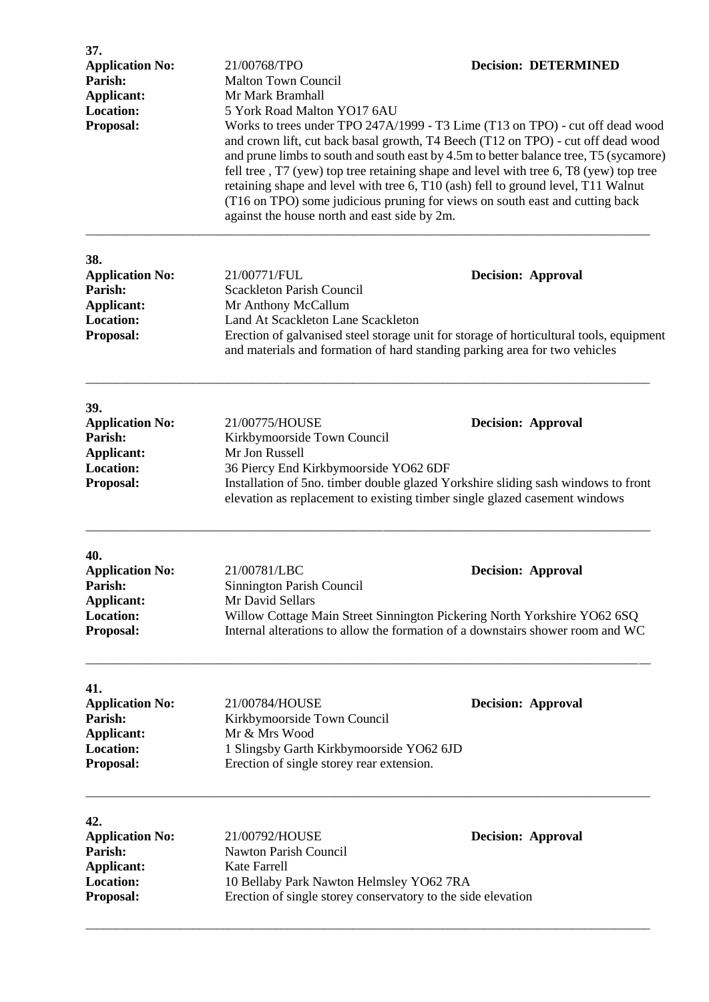| 37.<br><b>Application No:</b><br>Parish:<br>Applicant:                                         | 21/00768/TPO<br><b>Malton Town Council</b><br>Mr Mark Bramhall                                                                                                                                                                                                                                                                                                                                                                                                                                                                                                                                          | <b>Decision: DETERMINED</b> |
|------------------------------------------------------------------------------------------------|---------------------------------------------------------------------------------------------------------------------------------------------------------------------------------------------------------------------------------------------------------------------------------------------------------------------------------------------------------------------------------------------------------------------------------------------------------------------------------------------------------------------------------------------------------------------------------------------------------|-----------------------------|
| <b>Location:</b><br>Proposal:                                                                  | 5 York Road Malton YO17 6AU<br>Works to trees under TPO 247A/1999 - T3 Lime (T13 on TPO) - cut off dead wood<br>and crown lift, cut back basal growth, T4 Beech (T12 on TPO) - cut off dead wood<br>and prune limbs to south and south east by 4.5m to better balance tree, T5 (sycamore)<br>fell tree, T7 (yew) top tree retaining shape and level with tree 6, T8 (yew) top tree<br>retaining shape and level with tree 6, T10 (ash) fell to ground level, T11 Walnut<br>(T16 on TPO) some judicious pruning for views on south east and cutting back<br>against the house north and east side by 2m. |                             |
| 38.<br><b>Application No:</b><br>Parish:<br>Applicant:<br>Location:<br>Proposal:               | 21/00771/FUL<br><b>Decision: Approval</b><br><b>Scackleton Parish Council</b><br>Mr Anthony McCallum<br>Land At Scackleton Lane Scackleton<br>Erection of galvanised steel storage unit for storage of horticultural tools, equipment<br>and materials and formation of hard standing parking area for two vehicles                                                                                                                                                                                                                                                                                     |                             |
| 39.<br><b>Application No:</b><br>Parish:<br><b>Applicant:</b><br><b>Location:</b><br>Proposal: | 21/00775/HOUSE<br><b>Decision: Approval</b><br>Kirkbymoorside Town Council<br>Mr Jon Russell<br>36 Piercy End Kirkbymoorside YO62 6DF<br>Installation of 5no. timber double glazed Yorkshire sliding sash windows to front<br>elevation as replacement to existing timber single glazed casement windows                                                                                                                                                                                                                                                                                                |                             |
| 40.<br><b>Application No:</b><br>Parish:<br>Applicant:<br>Location:<br>Proposal:               | 21/00781/LBC<br><b>Decision: Approval</b><br>Sinnington Parish Council<br>Mr David Sellars<br>Willow Cottage Main Street Sinnington Pickering North Yorkshire YO62 6SQ<br>Internal alterations to allow the formation of a downstairs shower room and WC                                                                                                                                                                                                                                                                                                                                                |                             |
| 41.<br><b>Application No:</b><br>Parish:<br><b>Applicant:</b><br><b>Location:</b><br>Proposal: | 21/00784/HOUSE<br>Kirkbymoorside Town Council<br>Mr & Mrs Wood<br>1 Slingsby Garth Kirkbymoorside YO62 6JD<br>Erection of single storey rear extension.                                                                                                                                                                                                                                                                                                                                                                                                                                                 | <b>Decision: Approval</b>   |
| 42.<br><b>Application No:</b><br>Parish:<br>Applicant:<br>Location:<br>Proposal:               | 21/00792/HOUSE<br>Nawton Parish Council<br><b>Kate Farrell</b><br>10 Bellaby Park Nawton Helmsley YO62 7RA<br>Erection of single storey conservatory to the side elevation                                                                                                                                                                                                                                                                                                                                                                                                                              | <b>Decision: Approval</b>   |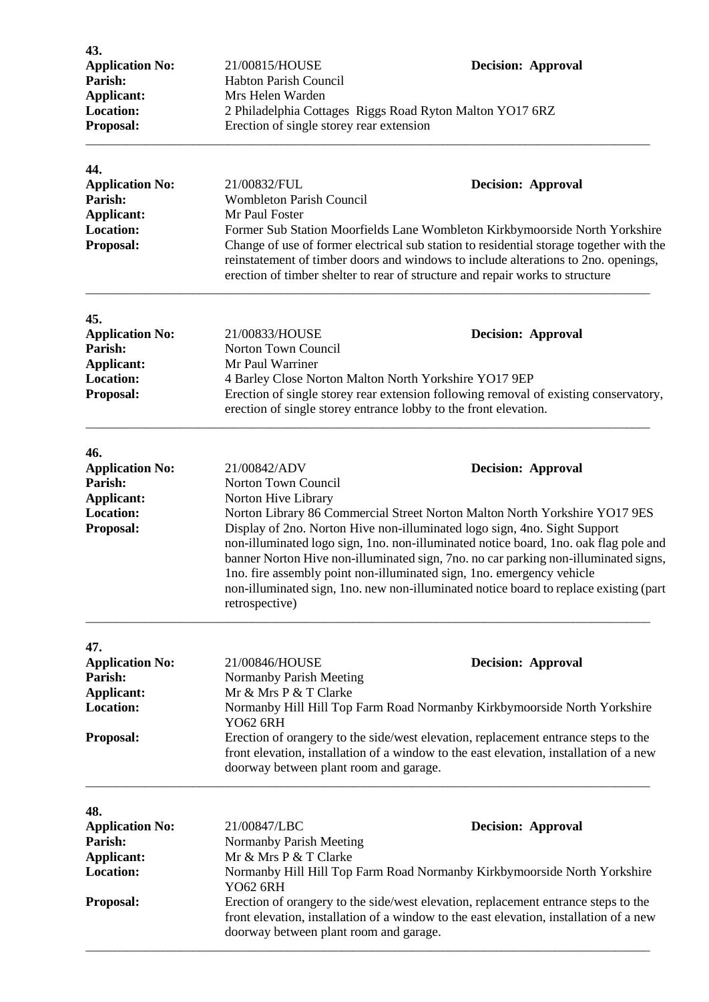| 43.<br><b>Application No:</b>         | 21/00815/HOUSE                                                                                                                                                                                                                                                                                                                                                                                                                               | <b>Decision: Approval</b>                                                            |
|---------------------------------------|----------------------------------------------------------------------------------------------------------------------------------------------------------------------------------------------------------------------------------------------------------------------------------------------------------------------------------------------------------------------------------------------------------------------------------------------|--------------------------------------------------------------------------------------|
| Parish:                               | Habton Parish Council                                                                                                                                                                                                                                                                                                                                                                                                                        |                                                                                      |
| Applicant:<br><b>Location:</b>        | Mrs Helen Warden                                                                                                                                                                                                                                                                                                                                                                                                                             |                                                                                      |
| Proposal:                             | 2 Philadelphia Cottages Riggs Road Ryton Malton YO17 6RZ<br>Erection of single storey rear extension                                                                                                                                                                                                                                                                                                                                         |                                                                                      |
| 44.                                   |                                                                                                                                                                                                                                                                                                                                                                                                                                              |                                                                                      |
| <b>Application No:</b>                | 21/00832/FUL                                                                                                                                                                                                                                                                                                                                                                                                                                 | <b>Decision: Approval</b>                                                            |
| Parish:<br>Applicant:                 | <b>Wombleton Parish Council</b><br>Mr Paul Foster                                                                                                                                                                                                                                                                                                                                                                                            |                                                                                      |
| <b>Location:</b>                      | Former Sub Station Moorfields Lane Wombleton Kirkbymoorside North Yorkshire                                                                                                                                                                                                                                                                                                                                                                  |                                                                                      |
| Proposal:                             | Change of use of former electrical sub station to residential storage together with the<br>reinstatement of timber doors and windows to include alterations to 2no. openings,<br>erection of timber shelter to rear of structure and repair works to structure                                                                                                                                                                               |                                                                                      |
| 45.                                   |                                                                                                                                                                                                                                                                                                                                                                                                                                              |                                                                                      |
| <b>Application No:</b>                | 21/00833/HOUSE                                                                                                                                                                                                                                                                                                                                                                                                                               | <b>Decision: Approval</b>                                                            |
| Parish:<br>Applicant:                 | Norton Town Council<br>Mr Paul Warriner                                                                                                                                                                                                                                                                                                                                                                                                      |                                                                                      |
| Location:                             | 4 Barley Close Norton Malton North Yorkshire YO17 9EP                                                                                                                                                                                                                                                                                                                                                                                        |                                                                                      |
| Proposal:                             |                                                                                                                                                                                                                                                                                                                                                                                                                                              | Erection of single storey rear extension following removal of existing conservatory, |
|                                       | erection of single storey entrance lobby to the front elevation.                                                                                                                                                                                                                                                                                                                                                                             |                                                                                      |
| 46.                                   |                                                                                                                                                                                                                                                                                                                                                                                                                                              |                                                                                      |
| <b>Application No:</b>                | 21/00842/ADV                                                                                                                                                                                                                                                                                                                                                                                                                                 | <b>Decision: Approval</b>                                                            |
| Parish:                               | Norton Town Council                                                                                                                                                                                                                                                                                                                                                                                                                          |                                                                                      |
| <b>Applicant:</b><br><b>Location:</b> | Norton Hive Library<br>Norton Library 86 Commercial Street Norton Malton North Yorkshire YO17 9ES                                                                                                                                                                                                                                                                                                                                            |                                                                                      |
| Proposal:                             | Display of 2no. Norton Hive non-illuminated logo sign, 4no. Sight Support<br>non-illuminated logo sign, 1no. non-illuminated notice board, 1no. oak flag pole and<br>banner Norton Hive non-illuminated sign, 7no. no car parking non-illuminated signs,<br>Ino. fire assembly point non-illuminated sign, 1no. emergency vehicle<br>non-illuminated sign, 1no. new non-illuminated notice board to replace existing (part<br>retrospective) |                                                                                      |
| 47.                                   |                                                                                                                                                                                                                                                                                                                                                                                                                                              |                                                                                      |
| <b>Application No:</b><br>Parish:     | 21/00846/HOUSE<br>Normanby Parish Meeting                                                                                                                                                                                                                                                                                                                                                                                                    | <b>Decision: Approval</b>                                                            |
| <b>Applicant:</b>                     | Mr & Mrs P & T Clarke                                                                                                                                                                                                                                                                                                                                                                                                                        |                                                                                      |
| <b>Location:</b>                      | Normanby Hill Hill Top Farm Road Normanby Kirkbymoorside North Yorkshire<br><b>YO62 6RH</b>                                                                                                                                                                                                                                                                                                                                                  |                                                                                      |
| Proposal:                             | Erection of orangery to the side/west elevation, replacement entrance steps to the<br>front elevation, installation of a window to the east elevation, installation of a new<br>doorway between plant room and garage.                                                                                                                                                                                                                       |                                                                                      |
| 48.                                   |                                                                                                                                                                                                                                                                                                                                                                                                                                              |                                                                                      |
| <b>Application No:</b>                | 21/00847/LBC                                                                                                                                                                                                                                                                                                                                                                                                                                 | <b>Decision: Approval</b>                                                            |
| Parish:                               | Normanby Parish Meeting                                                                                                                                                                                                                                                                                                                                                                                                                      |                                                                                      |
| Applicant:<br><b>Location:</b>        | Mr & Mrs P & T Clarke                                                                                                                                                                                                                                                                                                                                                                                                                        |                                                                                      |
|                                       | Normanby Hill Hill Top Farm Road Normanby Kirkbymoorside North Yorkshire<br>YO62 6RH                                                                                                                                                                                                                                                                                                                                                         |                                                                                      |
| Proposal:                             | Erection of orangery to the side/west elevation, replacement entrance steps to the<br>front elevation, installation of a window to the east elevation, installation of a new<br>doorway between plant room and garage.                                                                                                                                                                                                                       |                                                                                      |